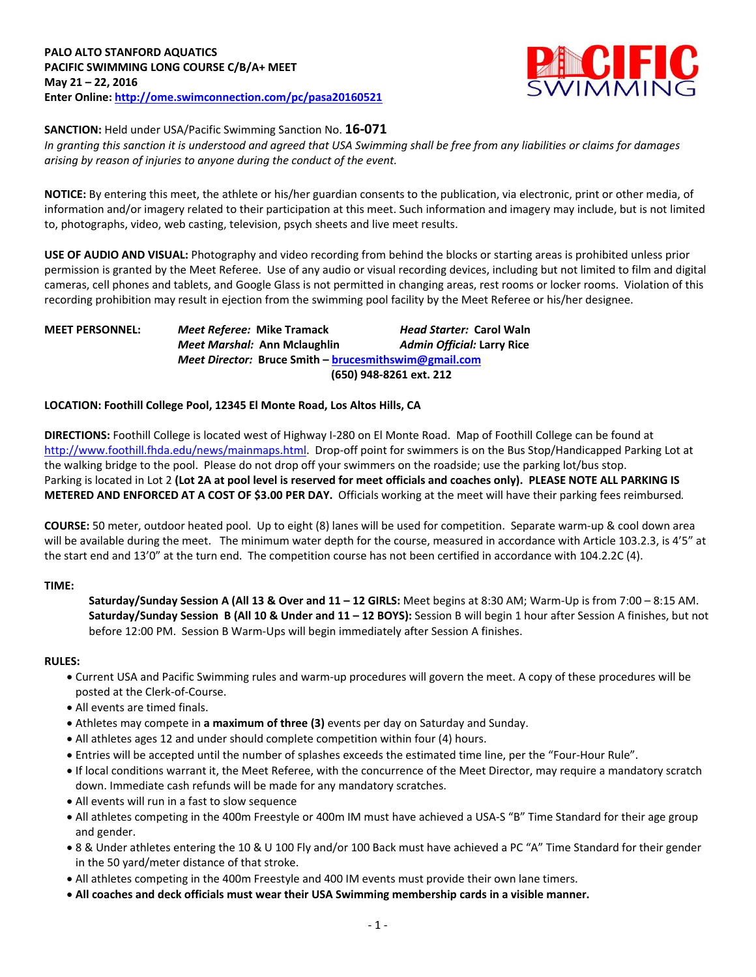

## **SANCTION:** Held under USA/Pacific Swimming Sanction No. **16-071**

*In granting this sanction it is understood and agreed that USA Swimming shall be free from any liabilities or claims for damages arising by reason of injuries to anyone during the conduct of the event.*

**NOTICE:** By entering this meet, the athlete or his/her guardian consents to the publication, via electronic, print or other media, of information and/or imagery related to their participation at this meet. Such information and imagery may include, but is not limited to, photographs, video, web casting, television, psych sheets and live meet results.

**USE OF AUDIO AND VISUAL:** Photography and video recording from behind the blocks or starting areas is prohibited unless prior permission is granted by the Meet Referee. Use of any audio or visual recording devices, including but not limited to film and digital cameras, cell phones and tablets, and Google Glass is not permitted in changing areas, rest rooms or locker rooms. Violation of this recording prohibition may result in ejection from the swimming pool facility by the Meet Referee or his/her designee.

# **MEET PERSONNEL:** *Meet Referee:* **Mike Tramack** *Head Starter:* **Carol Waln** *Meet Marshal:* **Ann Mclaughlin** *Admin Official:* **Larry Rice** *Meet Director:* **Bruce Smith – [brucesmithswim@gmail.com](mailto:brucesmithswim@gmail.com) (650) 948-8261 ext. 212**

## **LOCATION: Foothill College Pool, 12345 El Monte Road, Los Altos Hills, CA**

**DIRECTIONS:** Foothill College is located west of Highway I-280 on El Monte Road. Map of Foothill College can be found at [http://www.foothill.fhda.edu/news/mainmaps.html.](http://www.foothill.fhda.edu/news/mainmaps.html) Drop-off point for swimmers is on the Bus Stop/Handicapped Parking Lot at the walking bridge to the pool. Please do not drop off your swimmers on the roadside; use the parking lot/bus stop. Parking is located in Lot 2 **(Lot 2A at pool level is reserved for meet officials and coaches only). PLEASE NOTE ALL PARKING IS METERED AND ENFORCED AT A COST OF \$3.00 PER DAY.** Officials working at the meet will have their parking fees reimbursed.

**COURSE:** 50 meter, outdoor heated pool. Up to eight (8) lanes will be used for competition. Separate warm-up & cool down area will be available during the meet. The minimum water depth for the course, measured in accordance with Article 103.2.3, is 4'5" at the start end and 13'0" at the turn end. The competition course has not been certified in accordance with 104.2.2C (4).

## **TIME:**

**Saturday/Sunday Session A (All 13 & Over and 11 – 12 GIRLS:** Meet begins at 8:30 AM; Warm-Up is from 7:00 – 8:15 AM. **Saturday/Sunday Session B (All 10 & Under and 11 – 12 BOYS):** Session B will begin 1 hour after Session A finishes, but not before 12:00 PM. Session B Warm-Ups will begin immediately after Session A finishes.

#### **RULES:**

- Current USA and Pacific Swimming rules and warm-up procedures will govern the meet. A copy of these procedures will be posted at the Clerk-of-Course.
- All events are timed finals.
- Athletes may compete in **a maximum of three (3)** events per day on Saturday and Sunday.
- All athletes ages 12 and under should complete competition within four (4) hours.
- Entries will be accepted until the number of splashes exceeds the estimated time line, per the "Four-Hour Rule".
- If local conditions warrant it, the Meet Referee, with the concurrence of the Meet Director, may require a mandatory scratch down. Immediate cash refunds will be made for any mandatory scratches.
- All events will run in a fast to slow sequence
- All athletes competing in the 400m Freestyle or 400m IM must have achieved a USA-S "B" Time Standard for their age group and gender.
- 8 & Under athletes entering the 10 & U 100 Fly and/or 100 Back must have achieved a PC "A" Time Standard for their gender in the 50 yard/meter distance of that stroke.
- All athletes competing in the 400m Freestyle and 400 IM events must provide their own lane timers.
- **All coaches and deck officials must wear their USA Swimming membership cards in a visible manner.**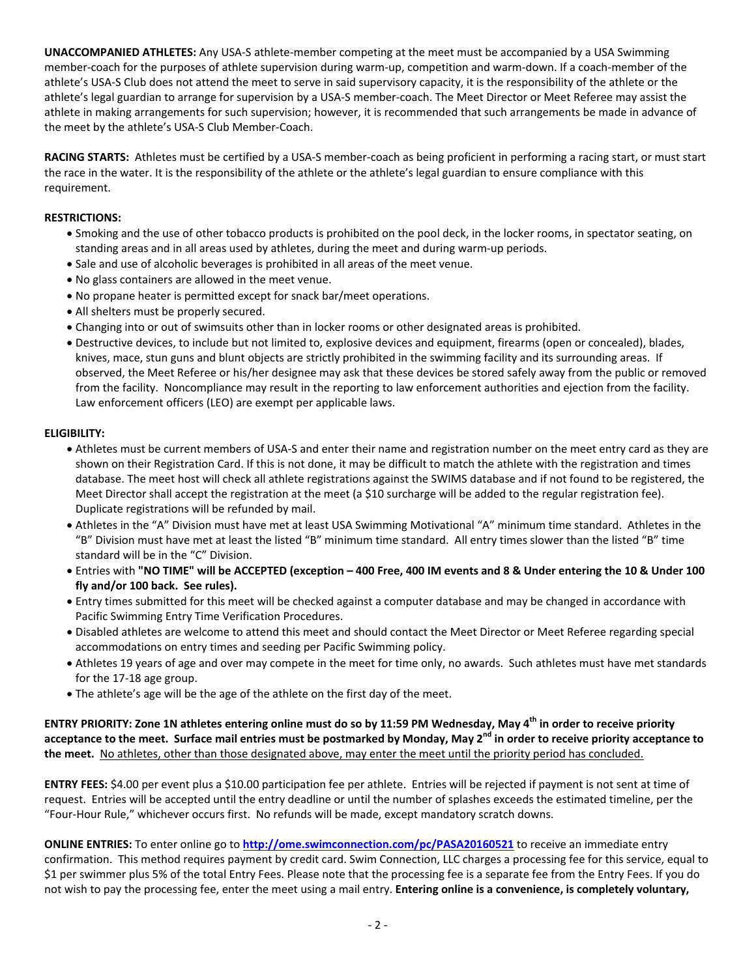**UNACCOMPANIED ATHLETES:** Any USA-S athlete-member competing at the meet must be accompanied by a USA Swimming member-coach for the purposes of athlete supervision during warm-up, competition and warm-down. If a coach-member of the athlete's USA-S Club does not attend the meet to serve in said supervisory capacity, it is the responsibility of the athlete or the athlete's legal guardian to arrange for supervision by a USA-S member-coach. The Meet Director or Meet Referee may assist the athlete in making arrangements for such supervision; however, it is recommended that such arrangements be made in advance of the meet by the athlete's USA-S Club Member-Coach.

**RACING STARTS:** Athletes must be certified by a USA-S member-coach as being proficient in performing a racing start, or must start the race in the water. It is the responsibility of the athlete or the athlete's legal guardian to ensure compliance with this requirement.

## **RESTRICTIONS:**

- Smoking and the use of other tobacco products is prohibited on the pool deck, in the locker rooms, in spectator seating, on standing areas and in all areas used by athletes, during the meet and during warm-up periods.
- Sale and use of alcoholic beverages is prohibited in all areas of the meet venue.
- No glass containers are allowed in the meet venue.
- No propane heater is permitted except for snack bar/meet operations.
- All shelters must be properly secured.
- Changing into or out of swimsuits other than in locker rooms or other designated areas is prohibited.
- Destructive devices, to include but not limited to, explosive devices and equipment, firearms (open or concealed), blades, knives, mace, stun guns and blunt objects are strictly prohibited in the swimming facility and its surrounding areas. If observed, the Meet Referee or his/her designee may ask that these devices be stored safely away from the public or removed from the facility. Noncompliance may result in the reporting to law enforcement authorities and ejection from the facility. Law enforcement officers (LEO) are exempt per applicable laws.

### **ELIGIBILITY:**

- Athletes must be current members of USA-S and enter their name and registration number on the meet entry card as they are shown on their Registration Card. If this is not done, it may be difficult to match the athlete with the registration and times database. The meet host will check all athlete registrations against the SWIMS database and if not found to be registered, the Meet Director shall accept the registration at the meet (a \$10 surcharge will be added to the regular registration fee). Duplicate registrations will be refunded by mail.
- Athletes in the "A" Division must have met at least USA Swimming Motivational "A" minimum time standard. Athletes in the "B" Division must have met at least the listed "B" minimum time standard. All entry times slower than the listed "B" time standard will be in the "C" Division.
- Entries with **"NO TIME" will be ACCEPTED (exception – 400 Free, 400 IM events and 8 & Under entering the 10 & Under 100 fly and/or 100 back. See rules).**
- Entry times submitted for this meet will be checked against a computer database and may be changed in accordance with Pacific Swimming Entry Time Verification Procedures.
- Disabled athletes are welcome to attend this meet and should contact the Meet Director or Meet Referee regarding special accommodations on entry times and seeding per Pacific Swimming policy.
- Athletes 19 years of age and over may compete in the meet for time only, no awards. Such athletes must have met standards for the 17-18 age group.
- The athlete's age will be the age of the athlete on the first day of the meet.

**ENTRY PRIORITY: Zone 1N athletes entering online must do so by 11:59 PM Wednesday, May 4th in order to receive priority acceptance to the meet. Surface mail entries must be postmarked by Monday, May 2nd in order to receive priority acceptance to the meet.** No athletes, other than those designated above, may enter the meet until the priority period has concluded.

**ENTRY FEES:** \$4.00 per event plus a \$10.00 participation fee per athlete. Entries will be rejected if payment is not sent at time of request. Entries will be accepted until the entry deadline or until the number of splashes exceeds the estimated timeline, per the "Four-Hour Rule," whichever occurs first. No refunds will be made, except mandatory scratch downs.

**ONLINE ENTRIES:** To enter online go to **<http://ome.swimconnection.com/pc/PASA20160521>** to receive an immediate entry confirmation. This method requires payment by credit card. Swim Connection, LLC charges a processing fee for this service, equal to \$1 per swimmer plus 5% of the total Entry Fees. Please note that the processing fee is a separate fee from the Entry Fees. If you do not wish to pay the processing fee, enter the meet using a mail entry. **Entering online is a convenience, is completely voluntary,**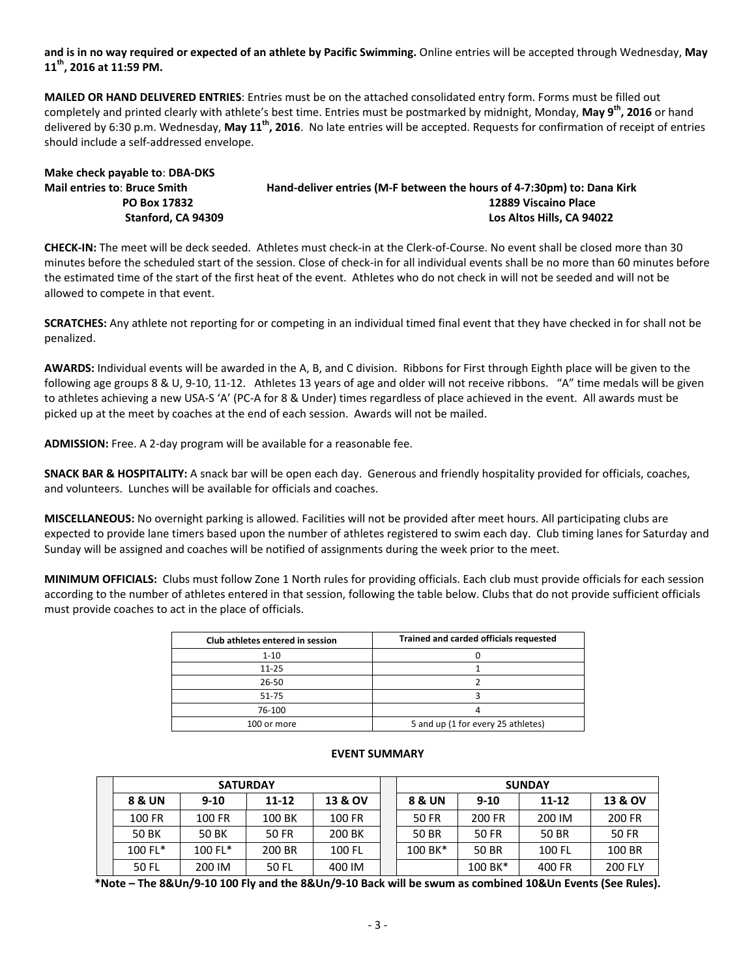**and is in no way required or expected of an athlete by Pacific Swimming.** Online entries will be accepted through Wednesday, **May 11th, 2016 at 11:59 PM.**

**MAILED OR HAND DELIVERED ENTRIES**: Entries must be on the attached consolidated entry form. Forms must be filled out completely and printed clearly with athlete's best time. Entries must be postmarked by midnight, Monday, **May 9th, 2016** or hand delivered by 6:30 p.m. Wednesday, **May 11th, 2016**. No late entries will be accepted. Requests for confirmation of receipt of entries should include a self-addressed envelope.

| Make check payable to: DBA-DKS      |                                                                        |
|-------------------------------------|------------------------------------------------------------------------|
| <b>Mail entries to: Bruce Smith</b> | Hand-deliver entries (M-F between the hours of 4-7:30pm) to: Dana Kirk |
| PO Box 17832                        | 12889 Viscaino Place                                                   |
| Stanford. CA 94309                  | Los Altos Hills, CA 94022                                              |

**CHECK-IN:** The meet will be deck seeded. Athletes must check-in at the Clerk-of-Course. No event shall be closed more than 30 minutes before the scheduled start of the session. Close of check-in for all individual events shall be no more than 60 minutes before the estimated time of the start of the first heat of the event. Athletes who do not check in will not be seeded and will not be allowed to compete in that event.

**SCRATCHES:** Any athlete not reporting for or competing in an individual timed final event that they have checked in for shall not be penalized.

**AWARDS:** Individual events will be awarded in the A, B, and C division. Ribbons for First through Eighth place will be given to the following age groups 8 & U, 9-10, 11-12. Athletes 13 years of age and older will not receive ribbons. "A" time medals will be given to athletes achieving a new USA-S 'A' (PC-A for 8 & Under) times regardless of place achieved in the event. All awards must be picked up at the meet by coaches at the end of each session. Awards will not be mailed.

**ADMISSION:** Free. A 2-day program will be available for a reasonable fee.

**SNACK BAR & HOSPITALITY:** A snack bar will be open each day. Generous and friendly hospitality provided for officials, coaches, and volunteers. Lunches will be available for officials and coaches.

**MISCELLANEOUS:** No overnight parking is allowed. Facilities will not be provided after meet hours. All participating clubs are expected to provide lane timers based upon the number of athletes registered to swim each day. Club timing lanes for Saturday and Sunday will be assigned and coaches will be notified of assignments during the week prior to the meet.

**MINIMUM OFFICIALS:** Clubs must follow Zone 1 North rules for providing officials. Each club must provide officials for each session according to the number of athletes entered in that session, following the table below. Clubs that do not provide sufficient officials must provide coaches to act in the place of officials.

| Club athletes entered in session | Trained and carded officials requested |
|----------------------------------|----------------------------------------|
| $1 - 10$                         |                                        |
| $11 - 25$                        |                                        |
| 26-50                            |                                        |
| 51-75                            |                                        |
| 76-100                           |                                        |
| 100 or more                      | 5 and up (1 for every 25 athletes)     |

| <b>SATURDAY</b> |            |           |         |  | <b>SUNDAY</b> |          |           |                |  |  |
|-----------------|------------|-----------|---------|--|---------------|----------|-----------|----------------|--|--|
| 8 & UN          | $9-10$     | $11 - 12$ | 13 & OV |  | 8 & UN        | $9 - 10$ | $11 - 12$ | 13 & OV        |  |  |
| 100 FR          | 100 FR     | 100 BK    | 100 FR  |  | 50 FR         | 200 FR   | 200 IM    | 200 FR         |  |  |
| 50 BK           | 50 BK      | 50 FR     | 200 BK  |  | 50 BR         | 50 FR    | 50 BR     | 50 FR          |  |  |
| $100 F1*$       | $100 FL^*$ | 200 BR    | 100 FL  |  | 100 BK*       | 50 BR    | 100 FL    | 100 BR         |  |  |
| 50 FL           | 200 IM     | 50 FL     | 400 IM  |  |               | 100 BK*  | 400 FR    | <b>200 FLY</b> |  |  |

### **EVENT SUMMARY**

**\*Note – The 8&Un/9-10 100 Fly and the 8&Un/9-10 Back will be swum as combined 10&Un Events (See Rules).**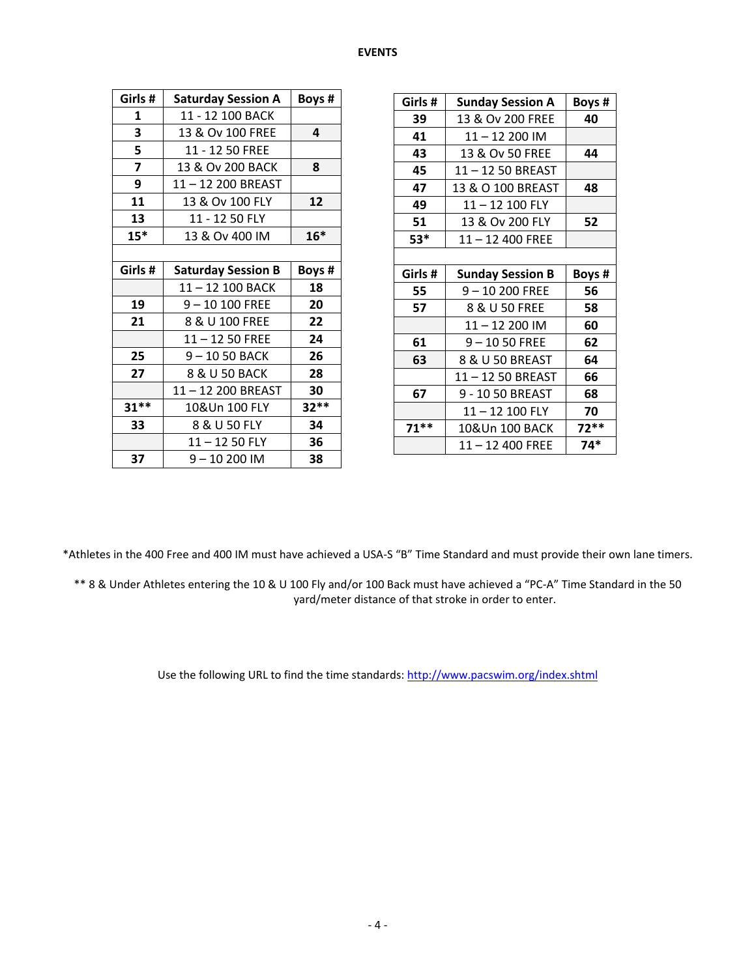#### **EVENTS**

| Girls # | <b>Saturday Session A</b> | Boys # |  |  |  |  |  |  |  |
|---------|---------------------------|--------|--|--|--|--|--|--|--|
| 1       | 11 - 12 100 BACK          |        |  |  |  |  |  |  |  |
| 3       | 13 & Ov 100 FREE          | 4      |  |  |  |  |  |  |  |
| 5       | 11 - 12 50 FREE           |        |  |  |  |  |  |  |  |
| 7       | 13 & Ov 200 BACK          | 8      |  |  |  |  |  |  |  |
| 9       | 11-12 200 BREAST          |        |  |  |  |  |  |  |  |
| 11      | 13 & Ov 100 FLY           | 12     |  |  |  |  |  |  |  |
| 13      | 11 - 12 50 FLY            |        |  |  |  |  |  |  |  |
| $15*$   | 13 & Ov 400 IM            | $16*$  |  |  |  |  |  |  |  |
|         |                           |        |  |  |  |  |  |  |  |
| Girls#  | Boys #                    |        |  |  |  |  |  |  |  |
|         | <b>Saturday Session B</b> |        |  |  |  |  |  |  |  |
|         | 11-12 100 BACK            | 18     |  |  |  |  |  |  |  |
| 19      | 9-10 100 FREE             | 20     |  |  |  |  |  |  |  |
| 21      | 8 & U 100 FREE            | 22     |  |  |  |  |  |  |  |
|         | 11-12 50 FREE             | 24     |  |  |  |  |  |  |  |
| 25      | 9-1050 BACK               | 26     |  |  |  |  |  |  |  |
| 27      | 8 & U 50 BACK             | 28     |  |  |  |  |  |  |  |
|         | 11-12 200 BREAST          | 30     |  |  |  |  |  |  |  |
| $31**$  | 10&Un 100 FLY             | $32**$ |  |  |  |  |  |  |  |
| 33      | 8 & U 50 FLY              | 34     |  |  |  |  |  |  |  |
|         | $11 - 1250$ FLY           | 36     |  |  |  |  |  |  |  |

| Girls # | <b>Sunday Session A</b> | Boys # |
|---------|-------------------------|--------|
| 39      | 13 & Ov 200 FREE        | 40     |
| 41      | 11-12 200 IM            |        |
| 43      | 13 & Ov 50 FREE         | 44     |
| 45      | 11-12 50 BREAST         |        |
| 47      | 13 & O 100 BREAST       | 48     |
| 49      | 11-12 100 FLY           |        |
| 51      | 13 & Ov 200 FLY         | 52     |
| 53*     | $11 - 12$ 400 FREE      |        |
|         |                         |        |
| Girls # | <b>Sunday Session B</b> | Boys # |
| 55      | 9-10 200 FREE           | 56     |
| 57      | 8 & U 50 FREE           | 58     |
|         |                         |        |
|         | 11-12 200 IM            | 60     |
| 61      | $9 - 1050$ FREE         | 62     |
| 63      | 8 & U 50 BREAST         | 64     |
|         | 11-12 50 BREAST         | 66     |
| 67      | 9 - 10 50 BREAST        | 68     |
|         | 11-12 100 FLY           | 70     |
| $71***$ | 10&Un 100 BACK          | $72**$ |

\*Athletes in the 400 Free and 400 IM must have achieved a USA-S "B" Time Standard and must provide their own lane timers.

\*\* 8 & Under Athletes entering the 10 & U 100 Fly and/or 100 Back must have achieved a "PC-A" Time Standard in the 50 yard/meter distance of that stroke in order to enter.

Use the following URL to find the time standards:<http://www.pacswim.org/index.shtml>